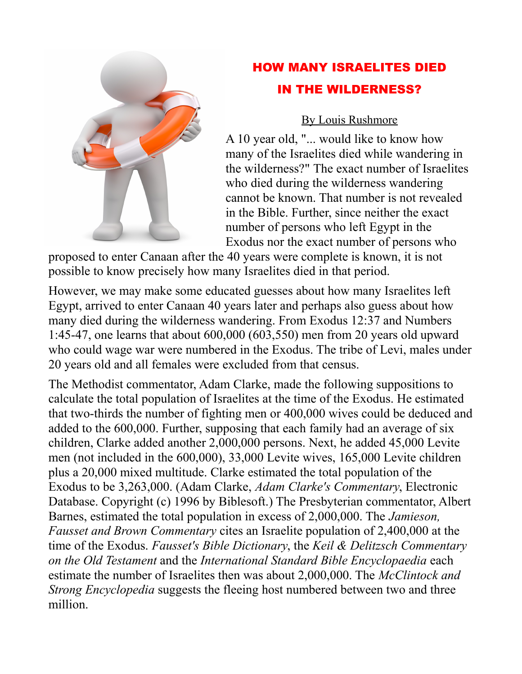

## HOW MANY ISRAELITES DIED IN THE WILDERNESS?

[By Louis Rushmore](http://www.gospelgazette.com/biographies/louis.shtml)

A 10 year old, "... would like to know how many of the Israelites died while wandering in the wilderness?" The exact number of Israelites who died during the wilderness wandering cannot be known. That number is not revealed in the Bible. Further, since neither the exact number of persons who left Egypt in the Exodus nor the exact number of persons who

proposed to enter Canaan after the 40 years were complete is known, it is not possible to know precisely how many Israelites died in that period.

However, we may make some educated guesses about how many Israelites left Egypt, arrived to enter Canaan 40 years later and perhaps also guess about how many died during the wilderness wandering. From Exodus 12:37 and Numbers 1:45-47, one learns that about 600,000 (603,550) men from 20 years old upward who could wage war were numbered in the Exodus. The tribe of Levi, males under 20 years old and all females were excluded from that census.

The Methodist commentator, Adam Clarke, made the following suppositions to calculate the total population of Israelites at the time of the Exodus. He estimated that two-thirds the number of fighting men or 400,000 wives could be deduced and added to the 600,000. Further, supposing that each family had an average of six children, Clarke added another 2,000,000 persons. Next, he added 45,000 Levite men (not included in the 600,000), 33,000 Levite wives, 165,000 Levite children plus a 20,000 mixed multitude. Clarke estimated the total population of the Exodus to be 3,263,000. (Adam Clarke, *Adam Clarke's Commentary*, Electronic Database. Copyright (c) 1996 by Biblesoft.) The Presbyterian commentator, Albert Barnes, estimated the total population in excess of 2,000,000. The *Jamieson, Fausset and Brown Commentary* cites an Israelite population of 2,400,000 at the time of the Exodus. *Fausset's Bible Dictionary*, the *Keil & Delitzsch Commentary on the Old Testament* and the *International Standard Bible Encyclopaedia* each estimate the number of Israelites then was about 2,000,000. The *McClintock and Strong Encyclopedia* suggests the fleeing host numbered between two and three million.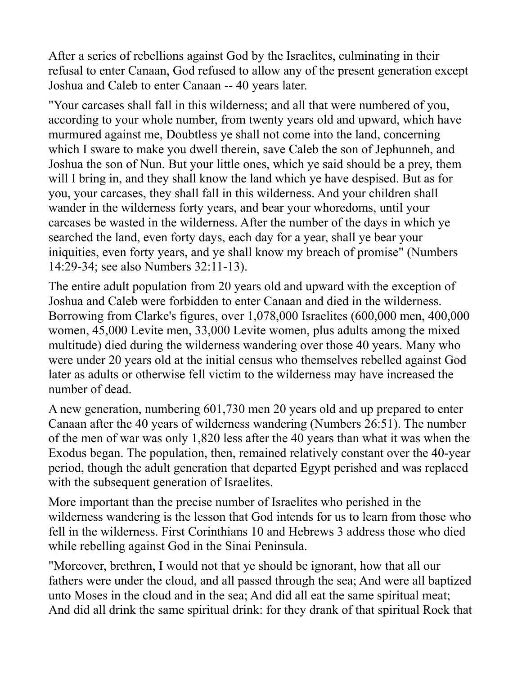After a series of rebellions against God by the Israelites, culminating in their refusal to enter Canaan, God refused to allow any of the present generation except Joshua and Caleb to enter Canaan -- 40 years later.

"Your carcases shall fall in this wilderness; and all that were numbered of you, according to your whole number, from twenty years old and upward, which have murmured against me, Doubtless ye shall not come into the land, concerning which I sware to make you dwell therein, save Caleb the son of Jephunneh, and Joshua the son of Nun. But your little ones, which ye said should be a prey, them will I bring in, and they shall know the land which ye have despised. But as for you, your carcases, they shall fall in this wilderness. And your children shall wander in the wilderness forty years, and bear your whoredoms, until your carcases be wasted in the wilderness. After the number of the days in which ye searched the land, even forty days, each day for a year, shall ye bear your iniquities, even forty years, and ye shall know my breach of promise" (Numbers 14:29-34; see also Numbers 32:11-13).

The entire adult population from 20 years old and upward with the exception of Joshua and Caleb were forbidden to enter Canaan and died in the wilderness. Borrowing from Clarke's figures, over 1,078,000 Israelites (600,000 men, 400,000 women, 45,000 Levite men, 33,000 Levite women, plus adults among the mixed multitude) died during the wilderness wandering over those 40 years. Many who were under 20 years old at the initial census who themselves rebelled against God later as adults or otherwise fell victim to the wilderness may have increased the number of dead.

A new generation, numbering 601,730 men 20 years old and up prepared to enter Canaan after the 40 years of wilderness wandering (Numbers 26:51). The number of the men of war was only 1,820 less after the 40 years than what it was when the Exodus began. The population, then, remained relatively constant over the 40-year period, though the adult generation that departed Egypt perished and was replaced with the subsequent generation of Israelites.

More important than the precise number of Israelites who perished in the wilderness wandering is the lesson that God intends for us to learn from those who fell in the wilderness. First Corinthians 10 and Hebrews 3 address those who died while rebelling against God in the Sinai Peninsula.

"Moreover, brethren, I would not that ye should be ignorant, how that all our fathers were under the cloud, and all passed through the sea; And were all baptized unto Moses in the cloud and in the sea; And did all eat the same spiritual meat; And did all drink the same spiritual drink: for they drank of that spiritual Rock that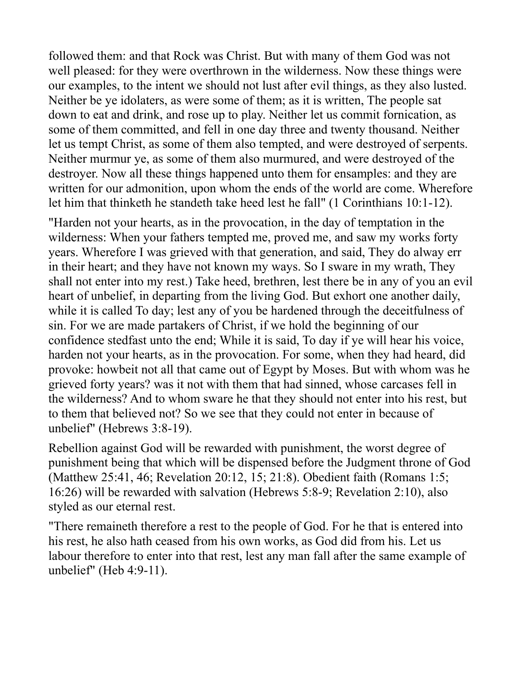followed them: and that Rock was Christ. But with many of them God was not well pleased: for they were overthrown in the wilderness. Now these things were our examples, to the intent we should not lust after evil things, as they also lusted. Neither be ye idolaters, as were some of them; as it is written, The people sat down to eat and drink, and rose up to play. Neither let us commit fornication, as some of them committed, and fell in one day three and twenty thousand. Neither let us tempt Christ, as some of them also tempted, and were destroyed of serpents. Neither murmur ye, as some of them also murmured, and were destroyed of the destroyer. Now all these things happened unto them for ensamples: and they are written for our admonition, upon whom the ends of the world are come. Wherefore let him that thinketh he standeth take heed lest he fall" (1 Corinthians 10:1-12).

"Harden not your hearts, as in the provocation, in the day of temptation in the wilderness: When your fathers tempted me, proved me, and saw my works forty years. Wherefore I was grieved with that generation, and said, They do alway err in their heart; and they have not known my ways. So I sware in my wrath, They shall not enter into my rest.) Take heed, brethren, lest there be in any of you an evil heart of unbelief, in departing from the living God. But exhort one another daily, while it is called To day; lest any of you be hardened through the deceitfulness of sin. For we are made partakers of Christ, if we hold the beginning of our confidence stedfast unto the end; While it is said, To day if ye will hear his voice, harden not your hearts, as in the provocation. For some, when they had heard, did provoke: howbeit not all that came out of Egypt by Moses. But with whom was he grieved forty years? was it not with them that had sinned, whose carcases fell in the wilderness? And to whom sware he that they should not enter into his rest, but to them that believed not? So we see that they could not enter in because of unbelief" (Hebrews 3:8-19).

Rebellion against God will be rewarded with punishment, the worst degree of punishment being that which will be dispensed before the Judgment throne of God (Matthew 25:41, 46; Revelation 20:12, 15; 21:8). Obedient faith (Romans 1:5; 16:26) will be rewarded with salvation (Hebrews 5:8-9; Revelation 2:10), also styled as our eternal rest.

"There remaineth therefore a rest to the people of God. For he that is entered into his rest, he also hath ceased from his own works, as God did from his. Let us labour therefore to enter into that rest, lest any man fall after the same example of unbelief" (Heb 4:9-11).